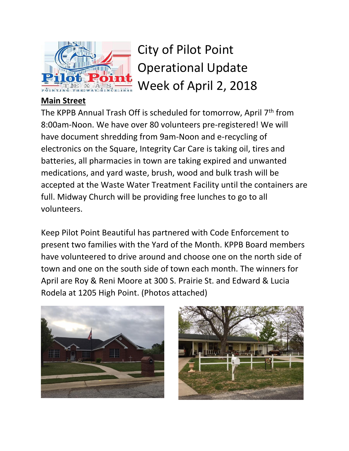

City of Pilot Point Operational Update Week of April 2, 2018

## **Main Street**

The KPPB Annual Trash Off is scheduled for tomorrow, April 7<sup>th</sup> from 8:00am-Noon. We have over 80 volunteers pre-registered! We will have document shredding from 9am-Noon and e-recycling of electronics on the Square, Integrity Car Care is taking oil, tires and batteries, all pharmacies in town are taking expired and unwanted medications, and yard waste, brush, wood and bulk trash will be accepted at the Waste Water Treatment Facility until the containers are full. Midway Church will be providing free lunches to go to all volunteers.

Keep Pilot Point Beautiful has partnered with Code Enforcement to present two families with the Yard of the Month. KPPB Board members have volunteered to drive around and choose one on the north side of town and one on the south side of town each month. The winners for April are Roy & Reni Moore at 300 S. Prairie St. and Edward & Lucia Rodela at 1205 High Point. (Photos attached)



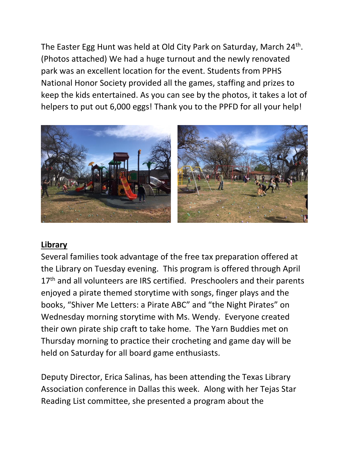The Easter Egg Hunt was held at Old City Park on Saturday, March 24<sup>th</sup>. (Photos attached) We had a huge turnout and the newly renovated park was an excellent location for the event. Students from PPHS National Honor Society provided all the games, staffing and prizes to keep the kids entertained. As you can see by the photos, it takes a lot of helpers to put out 6,000 eggs! Thank you to the PPFD for all your help!



## **Library**

Several families took advantage of the free tax preparation offered at the Library on Tuesday evening. This program is offered through April 17<sup>th</sup> and all volunteers are IRS certified. Preschoolers and their parents enjoyed a pirate themed storytime with songs, finger plays and the books, "Shiver Me Letters: a Pirate ABC" and "the Night Pirates" on Wednesday morning storytime with Ms. Wendy. Everyone created their own pirate ship craft to take home. The Yarn Buddies met on Thursday morning to practice their crocheting and game day will be held on Saturday for all board game enthusiasts.

Deputy Director, Erica Salinas, has been attending the Texas Library Association conference in Dallas this week. Along with her Tejas Star Reading List committee, she presented a program about the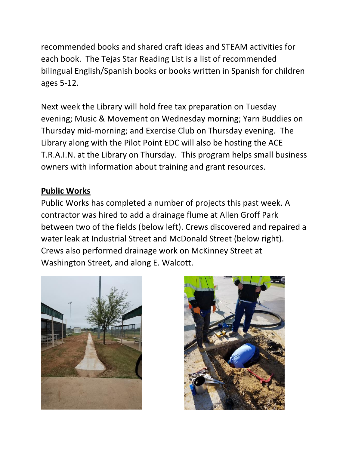recommended books and shared craft ideas and STEAM activities for each book. The Tejas Star Reading List is a list of recommended bilingual English/Spanish books or books written in Spanish for children ages 5-12.

Next week the Library will hold free tax preparation on Tuesday evening; Music & Movement on Wednesday morning; Yarn Buddies on Thursday mid-morning; and Exercise Club on Thursday evening. The Library along with the Pilot Point EDC will also be hosting the ACE T.R.A.I.N. at the Library on Thursday. This program helps small business owners with information about training and grant resources.

## **Public Works**

Public Works has completed a number of projects this past week. A contractor was hired to add a drainage flume at Allen Groff Park between two of the fields (below left). Crews discovered and repaired a water leak at Industrial Street and McDonald Street (below right). Crews also performed drainage work on McKinney Street at Washington Street, and along E. Walcott.



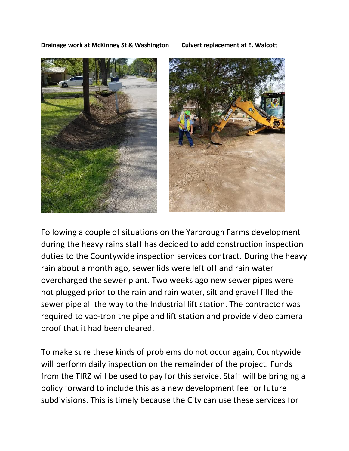**Drainage work at McKinney St & Washington Culvert replacement at E. Walcott**





Following a couple of situations on the Yarbrough Farms development during the heavy rains staff has decided to add construction inspection duties to the Countywide inspection services contract. During the heavy rain about a month ago, sewer lids were left off and rain water overcharged the sewer plant. Two weeks ago new sewer pipes were not plugged prior to the rain and rain water, silt and gravel filled the sewer pipe all the way to the Industrial lift station. The contractor was required to vac-tron the pipe and lift station and provide video camera proof that it had been cleared.

To make sure these kinds of problems do not occur again, Countywide will perform daily inspection on the remainder of the project. Funds from the TIRZ will be used to pay for this service. Staff will be bringing a policy forward to include this as a new development fee for future subdivisions. This is timely because the City can use these services for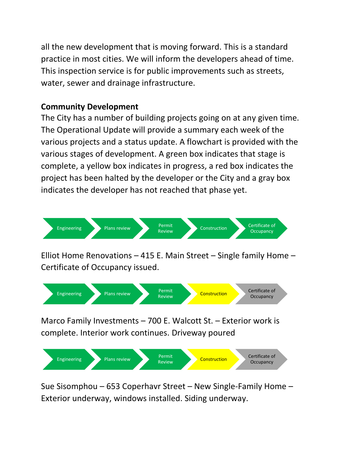all the new development that is moving forward. This is a standard practice in most cities. We will inform the developers ahead of time. This inspection service is for public improvements such as streets, water, sewer and drainage infrastructure.

## **Community Development**

The City has a number of building projects going on at any given time. The Operational Update will provide a summary each week of the various projects and a status update. A flowchart is provided with the various stages of development. A green box indicates that stage is complete, a yellow box indicates in progress, a red box indicates the project has been halted by the developer or the City and a gray box indicates the developer has not reached that phase yet.



Elliot Home Renovations – 415 E. Main Street – Single family Home – Certificate of Occupancy issued.



Marco Family Investments – 700 E. Walcott St. – Exterior work is complete. Interior work continues. Driveway poured



Sue Sisomphou – 653 Coperhavr Street – New Single-Family Home – Exterior underway, windows installed. Siding underway.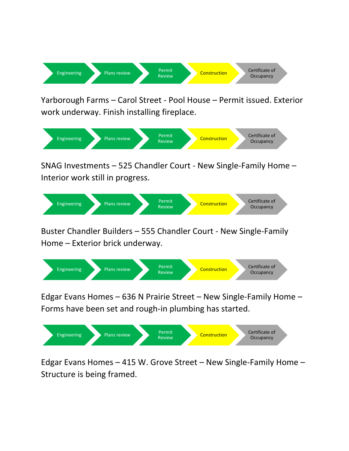

Yarborough Farms – Carol Street - Pool House – Permit issued. Exterior work underway. Finish installing fireplace.



SNAG Investments – 525 Chandler Court - New Single-Family Home – Interior work still in progress.



Buster Chandler Builders – 555 Chandler Court - New Single-Family Home – Exterior brick underway.



Edgar Evans Homes – 636 N Prairie Street – New Single-Family Home – Forms have been set and rough-in plumbing has started.



Edgar Evans Homes – 415 W. Grove Street – New Single-Family Home – Structure is being framed.